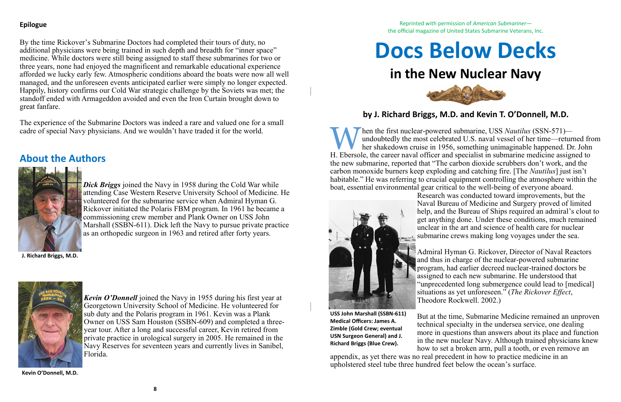### **Epilogue**

By the time Rickover's Submarine Doctors had completed their tours of duty, no additional physicians were being trained in such depth and breadth for "inner space" medicine. While doctors were still being assigned to staff these submarines for two or three years, none had enjoyed the magnificent and remarkable educational experience afforded we lucky early few. Atmospheric conditions aboard the boats were now all well managed, and the unforeseen events anticipated earlier were simply no longer expected. Happily, history confirms our Cold War strategic challenge by the Soviets was met; the standoff ended with Armageddon avoided and even the Iron Curtain brought down to great fanfare.

> *Dick Briggs* joined the Navy in 1958 during the Cold War while attending Case Western Reserve University School of Medicine. He volunteered for the submarine service when Admiral Hyman G. Rickover initiated the Polaris FBM program. In 1961 he became a commissioning crew member and Plank Owner on USS John Marshall (SSBN-611). Dick left the Navy to pursue private practice as an orthopedic surgeon in 1963 and retired after forty years.

The experience of the Submarine Doctors was indeed a rare and valued one for a small cadre of special Navy physicians. And we wouldn't have traded it for the world.

# **About the Authors**



M hen the first nuclear-powered submarine, USS Nautilus (SSN-571)—<br>undoubtedly the most celebrated U.S. naval vessel of her time—returned from<br>H. Ebersole, the career naval officer and specialist in submarine medicine assi hen the first nuclear-powered submarine, USS *Nautilus* (SSN-571) undoubtedly the most celebrated U.S. naval vessel of her time—returned from her shakedown cruise in 1956, something unimaginable happened. Dr. John the new submarine, reported that "The carbon dioxide scrubbers don't work, and the carbon monoxide burners keep exploding and catching fire. [The *Nautilus*] just isn't habitable." He was referring to crucial equipment controlling the atmosphere within the boat, essential environmental gear critical to the well-being of everyone aboard. Research was conducted toward improvements, but the Naval Bureau of Medicine and Surgery proved of limited help, and the Bureau of Ships required an admiral's clout to get anything done. Under these conditions, much remained unclear in the art and science of health care for nuclear submarine crews making long voyages under the sea.



*Kevin O'Donnell* joined the Navy in 1955 during his first year at Georgetown University School of Medicine. He volunteered for sub duty and the Polaris program in 1961. Kevin was a Plank Owner on USS Sam Houston (SSBN-609) and completed a threeyear tour. After a long and successful career, Kevin retired from private practice in urological surgery in 2005. He remained in the Navy Reserves for seventeen years and currently lives in Sanibel, Florida.

**J. Richard Briggs, M.D.**



**Kevin O'Donnell, M.D.**

Reprinted with permission of *American Submariner* the official magazine of United States Submarine Veterans, Inc.





# **in the New Nuclear Navy**

## **by J. Richard Briggs, M.D. and Kevin T. O'Donnell, M.D.**

Admiral Hyman G. Rickover, Director of Naval Reactors and thus in charge of the nuclear-powered submarine program, had earlier decreed nuclear-trained doctors be assigned to each new submarine. He understood that "unprecedented long submergence could lead to [medical] situations as yet unforeseen." (*The Rickover Effect*, Theodore Rockwell. 2002.)

But at the time, Submarine Medicine remained an unproven technical specialty in the undersea service, one dealing more in questions than answers about its place and function in the new nuclear Navy. Although trained physicians knew how to set a broken arm, pull a tooth, or even remove an appendix, as yet there was no real precedent in how to practice medicine in an upholstered steel tube three hundred feet below the ocean's surface. **Medical Officers: James A. Zimble (Gold Crew; eventual USN Surgeon General) and J. Richard Briggs (Blue Crew).**

**USS John Marshall (SSBN-611)**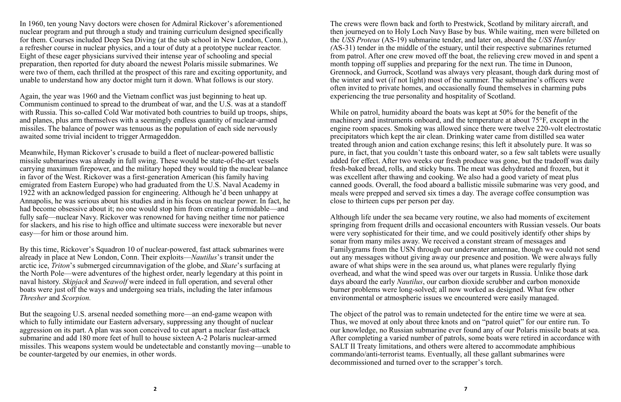In 1960, ten young Navy doctors were chosen for Admiral Rickover's aforementioned nuclear program and put through a study and training curriculum designed specifically for them. Courses included Deep Sea Diving (at the sub school in New London, Conn.), a refresher course in nuclear physics, and a tour of duty at a prototype nuclear reactor. Eight of these eager physicians survived their intense year of schooling and special preparation, then reported for duty aboard the newest Polaris missile submarines. We were two of them, each thrilled at the prospect of this rare and exciting opportunity, and unable to understand how any doctor might turn it down. What follows is our story.

Again, the year was 1960 and the Vietnam conflict was just beginning to heat up. Communism continued to spread to the drumbeat of war, and the U.S. was at a standoff with Russia. This so-called Cold War motivated both countries to build up troops, ships, and planes, plus arm themselves with a seemingly endless quantity of nuclear-armed missiles. The balance of power was tenuous as the population of each side nervously awaited some trivial incident to trigger Armageddon.

Meanwhile, Hyman Rickover's crusade to build a fleet of nuclear-powered ballistic missile submarines was already in full swing. These would be state-of-the-art vessels carrying maximum firepower, and the military hoped they would tip the nuclear balance in favor of the West. Rickover was a first-generation American (his family having emigrated from Eastern Europe) who had graduated from the U.S. Naval Academy in 1922 with an acknowledged passion for engineering. Although he'd been unhappy at Annapolis, he was serious about his studies and in his focus on nuclear power. In fact, he had become obsessive about it; no one would stop him from creating a formidable—and fully safe—nuclear Navy. Rickover was renowned for having neither time nor patience for slackers, and his rise to high office and ultimate success were inexorable but never easy—for him or those around him.

By this time, Rickover's Squadron 10 of nuclear-powered, fast attack submarines were already in place at New London, Conn. Their exploits—*Nautilus*'s transit under the arctic ice, *Triton*'s submerged circumnavigation of the globe, and *Skate*'s surfacing at the North Pole—were adventures of the highest order, nearly legendary at this point in naval history. *Skipjack* and *Seawolf* were indeed in full operation, and several other boats were just off the ways and undergoing sea trials, including the later infamous *Thresher* and *Scorpion.*

But the seagoing U.S. arsenal needed something more—an end-game weapon with which to fully intimidate our Eastern adversary, suppressing any thought of nuclear aggression on its part. A plan was soon conceived to cut apart a nuclear fast-attack submarine and add 180 more feet of hull to house sixteen A-2 Polaris nuclear-armed missiles. This weapons system would be undetectable and constantly moving—unable to be counter-targeted by our enemies, in other words.

The crews were flown back and forth to Prestwick, Scotland by military aircraft, and then journeyed on to Holy Loch Navy Base by bus. While waiting, men were billeted on the *USS Proteus* (AS-19) submarine tender, and later on, aboard the *USS Hunley (*AS-31) tender in the middle of the estuary, until their respective submarines returned from patrol. After one crew moved off the boat, the relieving crew moved in and spent a month topping off supplies and preparing for the next run. The time in Dunoon, Grennock, and Gurrock, Scotland was always very pleasant, though dark during most of the winter and wet (if not light) most of the summer. The submarine's officers were often invited to private homes, and occasionally found themselves in charming pubs experiencing the true personality and hospitality of Scotland.

While on patrol, humidity aboard the boats was kept at 50% for the benefit of the machinery and instruments onboard, and the temperature at about 75°F, except in the engine room spaces. Smoking was allowed since there were twelve 220-volt electrostatic precipitators which kept the air clean. Drinking water came from distilled sea water treated through anion and cation exchange resins; this left it absolutely pure. It was so pure, in fact, that you couldn't taste this onboard water, so a few salt tablets were usually added for effect. After two weeks our fresh produce was gone, but the tradeoff was daily fresh-baked bread, rolls, and sticky buns. The meat was dehydrated and frozen, but it was excellent after thawing and cooking. We also had a good variety of meat plus canned goods. Overall, the food aboard a ballistic missile submarine was very good, and meals were prepped and served six times a day. The average coffee consumption was close to thirteen cups per person per day.

Although life under the sea became very routine, we also had moments of excitement springing from frequent drills and occasional encounters with Russian vessels. Our boats were very sophisticated for their time, and we could positively identify other ships by sonar from many miles away. We received a constant stream of messages and Familygrams from the USN through our underwater antennae, though we could not send out any messages without giving away our presence and position. We were always fully aware of what ships were in the sea around us, what planes were regularly flying overhead, and what the wind speed was over our targets in Russia. Unlike those dark days aboard the early *Nautilus*, our carbon dioxide scrubber and carbon monoxide burner problems were long-solved; all now worked as designed. What few other environmental or atmospheric issues we encountered were easily managed.

The object of the patrol was to remain undetected for the entire time we were at sea. Thus, we moved at only about three knots and on "patrol quiet" for our entire run. To our knowledge, no Russian submarine ever found any of our Polaris missile boats at sea. After completing a varied number of patrols, some boats were retired in accordance with SALT II Treaty limitations, and others were altered to accommodate amphibious commando/anti-terrorist teams. Eventually, all these gallant submarines were decommissioned and turned over to the scrapper's torch.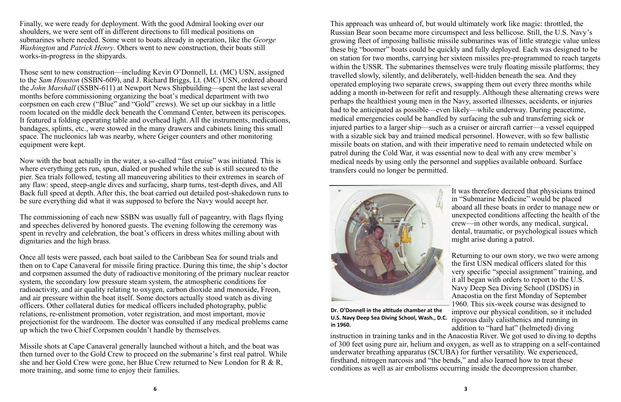Finally, we were ready for deployment. With the good Admiral looking over our shoulders, we were sent off in different directions to fill medical positions on submarines where needed. Some went to boats already in operation, like the *George Washington* and *Patrick Henry*. Others went to new construction, their boats still works-in-progress in the shipyards.

Those sent to new construction—including Kevin O'Donnell, Lt. (MC) USN, assigned to the *Sam Houston* (SSBN-609), and J. Richard Briggs, Lt. (MC) USN, ordered aboard the *John Marshall* (SSBN-611) at Newport News Shipbuilding—spent the last several months before commissioning organizing the boat's medical department with two corpsmen on each crew ("Blue" and "Gold" crews). We set up our sickbay in a little room located on the middle deck beneath the Command Center, between its periscopes. It featured a folding operating table and overhead light. All the instruments, medications, bandages, splints, etc., were stowed in the many drawers and cabinets lining this small space. The nucleonics lab was nearby, where Geiger counters and other monitoring equipment were kept.

Now with the boat actually in the water, a so-called "fast cruise" was initiated. This is where everything gets run, spun, dialed or pushed while the sub is still secured to the pier. Sea trials followed, testing all maneuvering abilities to their extremes in search of any flaw: speed, steep-angle dives and surfacing, sharp turns, test-depth dives, and All Back full speed at depth. After this, the boat carried out detailed post-shakedown runs to be sure everything did what it was supposed to before the Navy would accept her.

The commissioning of each new SSBN was usually full of pageantry, with flags flying and speeches delivered by honored guests. The evening following the ceremony was spent in revelry and celebration, the boat's officers in dress whites milling about with dignitaries and the high brass.

Once all tests were passed, each boat sailed to the Caribbean Sea for sound trials and then on to Cape Canaveral for missile firing practice. During this time, the ship's doctor and corpsmen assumed the duty of radioactive monitoring of the primary nuclear reactor system, the secondary low pressure steam system, the atmospheric conditions for radioactivity, and air quality relating to oxygen, carbon dioxide and monoxide, Freon, and air pressure within the boat itself. Some doctors actually stood watch as diving officers. Other collateral duties for medical officers included photography, public relations, re-enlistment promotion, voter registration, and most important, movie projectionist for the wardroom. The doctor was consulted if any medical problems came up which the two Chief Corpsmen couldn't handle by themselves.

Missile shots at Cape Canaveral generally launched without a hitch, and the boat was then turned over to the Gold Crew to proceed on the submarine's first real patrol. While she and her Gold Crew were gone, her Blue Crew returned to New London for R & R, more training, and some time to enjoy their families.

This approach was unheard of, but would ultimately work like magic: throttled, the Russian Bear soon became more circumspect and less bellicose. Still, the U.S. Navy's growing fleet of imposing ballistic missile submarines was of little strategic value unless these big "boomer" boats could be quickly and fully deployed. Each was designed to be on station for two months, carrying her sixteen missiles pre-programmed to reach targets within the USSR. The submarines themselves were truly floating missile platforms; they travelled slowly, silently, and deliberately, well-hidden beneath the sea. And they operated employing two separate crews, swapping them out every three months while adding a month in-between for refit and resupply. Although these alternating crews were perhaps the healthiest young men in the Navy, assorted illnesses, accidents, or injuries had to be anticipated as possible—even likely—while underway. During peacetime, medical emergencies could be handled by surfacing the sub and transferring sick or injured parties to a larger ship—such as a cruiser or aircraft carrier—a vessel equipped with a sizable sick bay and trained medical personnel. However, with so few ballistic missile boats on station, and with their imperative need to remain undetected while on patrol during the Cold War, it was essential now to deal with any crew member's medical needs by using only the personnel and supplies available onboard. Surface transfers could no longer be permitted.



It was therefore decreed that physicians trained in "Submarine Medicine" would be placed aboard all these boats in order to manage new or unexpected conditions affecting the health of the crew—in other words, any medical, surgical, dental, traumatic, or psychological issues which might arise during a patrol.

Returning to our own story, we two were among the first USN medical officers slated for this very specific "special assignment" training, and it all began with orders to report to the U.S. Navy Deep Sea Diving School (DSDS) in Anacostia on the first Monday of September 1960. This six-week course was designed to improve our physical condition, so it included rigorous daily calisthenics and running in addition to "hard hat" (helmeted) diving instruction in training tanks and in the Anacostia River. We got used to diving to depths of 300 feet using pure air, helium and oxygen, as well as to strapping on a self-contained underwater breathing apparatus (SCUBA) for further versatility. We experienced, firsthand, nitrogen narcosis and "the bends," and also learned how to treat these conditions as well as air embolisms occurring inside the decompression chamber. **Dr. O'Donnell in the altitude chamber at the U.S. Navy Deep Sea Diving School, Wash., D.C. in 1960.**